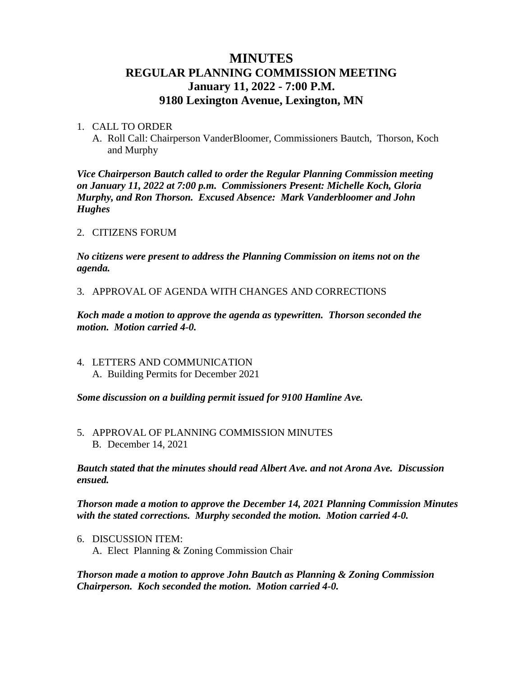# **MINUTES REGULAR PLANNING COMMISSION MEETING January 11, 2022 - 7:00 P.M. 9180 Lexington Avenue, Lexington, MN**

#### 1. CALL TO ORDER

A. Roll Call: Chairperson VanderBloomer, Commissioners Bautch, Thorson, Koch and Murphy

*Vice Chairperson Bautch called to order the Regular Planning Commission meeting on January 11, 2022 at 7:00 p.m. Commissioners Present: Michelle Koch, Gloria Murphy, and Ron Thorson. Excused Absence: Mark Vanderbloomer and John Hughes*

### 2. CITIZENS FORUM

*No citizens were present to address the Planning Commission on items not on the agenda.*

3. APPROVAL OF AGENDA WITH CHANGES AND CORRECTIONS

*Koch made a motion to approve the agenda as typewritten. Thorson seconded the motion. Motion carried 4-0.*

4. LETTERS AND COMMUNICATION A. Building Permits for December 2021

*Some discussion on a building permit issued for 9100 Hamline Ave.*

5. APPROVAL OF PLANNING COMMISSION MINUTES B. December 14, 2021

*Bautch stated that the minutes should read Albert Ave. and not Arona Ave. Discussion ensued.* 

*Thorson made a motion to approve the December 14, 2021 Planning Commission Minutes with the stated corrections. Murphy seconded the motion. Motion carried 4-0.*

6. DISCUSSION ITEM: A. Elect Planning & Zoning Commission Chair

*Thorson made a motion to approve John Bautch as Planning & Zoning Commission Chairperson. Koch seconded the motion. Motion carried 4-0.*